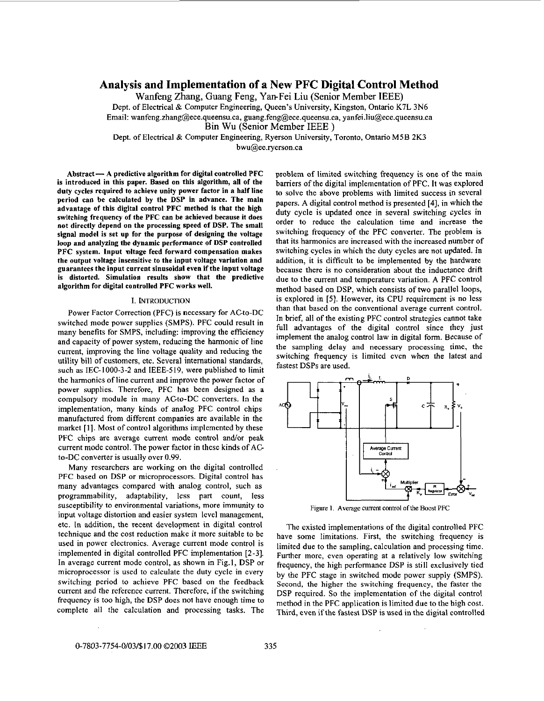# <span id="page-0-0"></span>**Analysis and Implementation of a New PFC Digital Control Method**

Wanfeng Zhang, Guang Feng, Yan-Fei Liu (Senior Member IEEE)

Dept. of Electrical & Computer Engineering, Queen's University, Kingston, Ontario K7L 3N6

Email: **wanfeng.zhang@ece.queensu.ca, guang.feng@ece.queensu.ca, yanfei.liu@ece.queensu.ca** 

**Bin** Wu (Senior Member IEEE )

Dept. of Electrical & Computer Engineering, Ryerson University, Toronto, Ontario **M5B** 2K3 bwu@ee.ryerson.ca

Abstract - A predictive algorithm far digital controlled **PFC**  is introduced in this paper. Based on this algorithm, all of the duty cycles required to achieve unity power factor in **a** half line period can be calculated by the **DSP** in advance. The main advantage of this digital control **PFC** method is that the high switching frequency of the **PFC** can be achieved because it does not directly depend on the processing speed of **DSP.** The small signal model is set up for the purpose of designing the voltage loop and analyzing the dynamic performance of DSP controlled **PFC** system. Input oltage feed forward compensation makes the output voltage insensitive to the input voltage variation and guarantees the input current sinusoidal even if the input voltage is distorted. Simulation results show that the predictive algorithm for digital controlled **PFC** works well.

# I. INTRODUCTION

Power Factor Correction (PFC) is necessary for AGto-DC switched mode power supplies (SMPS). PFC could result in many benefits for SMPS, including: improving the efficiency and capacity of power system, reducing the harmonic of line current, improving the line voltage quality and reducing the utility bill of customers, etc. Several intemational standards, such as IEC-1000-3-2 and IEEE-519, were published to limit the harmonics of line current and improve the power factor of power supplies. Therefore, PFC bas been designed as a compulsory module in many AGto-DC converters. In the implementation, many kinds of analog PFC control chips manufactured from different companies are available in the market **[I].** Most of control algorithms implemented by these PFC chips are average current mode control and/or peak current mode control. **The** power factor in these kinds of **AG**  to-DC converter is usually over 0.99.

Many researchers are working on the digital controlled PFC based on DSP or microprocessors. Digital control has many advantages compared with analog control, such as programmability, adaptability, less part count, less susceptibility to environmental variations, more immunity to input voltage distortion and easier system level management, etc. In addition, the recent development in digital control technique and the cost reduction make it more suitable to be used in power electronics. Average current mode control is implemented in digital controlled PFC implementation 12-31. In average current mode control, as shown in Fig.1, DSP or microprocessor is used to calculate the duty cycle in every switching period to achieve PFC based on the feedback current and the reference current. Therefore, if the switching frequency is too high, tbe DSP does not have enough time to complete all the calculation and processing tasks. The problem of limited switching frequency is one of the main barriers of the digital implementation of PFC. It was explored to solve the above problems with limited success in several papers. **A** digital control method is presented **[4],** in which the duty cycle is updated once in several switching cycles in order to reduce the calculation time and increase the switching frequency of the PFC converter. The problem is that its harmonics are increased with the increased number of switching cycles in which the duty cycles are not updated. In addition, it is difficult to be implemented by the hardware because there is no consideration about the inductance drift due to the current and temperature variation. A PFC control method based on DSP, which consists of two parallel loops, is explored in *151.* However, its CPU requirement is no less than that based on the conventional average current control. In brief, all of the existing PFC control strategies cannot take full advantages of the digital control since they just implement the analog control law in digital form. Because of the sampling delay and necessary processing time, the switching frequency is limited even when the latest and fastest DSPs are used.



Figure **1.** Avenge current control of the Boost PFC

The existed implementations of the digital controlled PFC have some limitations. First, the switching frequency is limited due to the sampling, calculation and processing time. Further more, even operating at a relatively low switching frequency, the high performance DSP is still exclusively tied by the PFC stage in switched mode power supply (SMPS). Second, the higher the switching frequency, the faster the DSP required. So the implementation of the digital control method in the PFC application is limited due to the high cost. Third, even if the fastest DSP is used in the digital controlled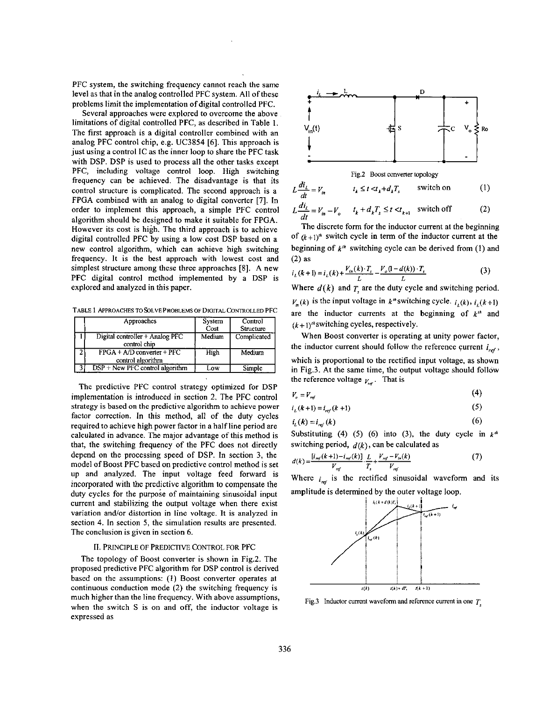PFC system, the switching frequency cannot reach the same level as that in the analog controlled PFC system. All of these problems limit the implementation of digital controlled PFC.

Several approaches were explored to overcome the above limitations of digital controlled PFC, **as** described in Table I. The first approach is a digital controller combined with an analog PFC control chip, e.g. UC3854 *[6].* This approach is just using a control IC as the inner loop to share the PFC task with DSP. DSP is used to process all the other tasks except PFC, including voltage control loop. High switching frequency can be achieved. The disadvantage is that its control structure is complicated. The second approach is a FPGA combined with an analog to digital converter **[7].** In order to implement this approach, a simple PFC control algorithm should be designed to make it suitable for FPGA. However its cost is high. The third approach is to achieve digital controlled PFC by using a low cost DSP based on a new control algorithm, which can achieve high switching frequency. It is the best approach with lowest cost and simplest structure among these three approaches [8]. A new PFC digital control method implemented by a DSP is explored and analyzed in this paper.

TABLE 1 APPROACHES TO SOLVE PROBLEMS OF DIGITAL CONTROLLED PFC

|   | Approaches                                      | System | Control     |
|---|-------------------------------------------------|--------|-------------|
|   |                                                 | Cost   | Structure   |
|   | Digital controller + Analog PFC<br>control chip | Medium | Complicated |
|   | $FPGA + A/D$ converter + $PFC$                  | High   | Medium      |
|   | control algorithm                               |        |             |
| ◠ | $DSP + New PFC control algorithm$               | Low    | Simple      |

The predictive PFC control strategy optimized for DSP implementation is introduced in section 2. The PFC control strategy is based on the predictive algorithm to achieve power factor correction. In this method, all of the duty cycles required to achieve high power factor in a half line period are calculated in advance. The major advantage of this method is that, the switching frequency of the PFC does not directly depend on the processing speed of DSP. In section 3, the model of Boost PFC based on predictive control method is set up and analyzed. The input voltage feed forward is incorporated with the predictive algorithm to compensate the duty cycles for the purpose of maintaining sinusoidal input current and stabilizing the output voltage when there exist variation and/or distortion in line voltage. It is analyzed in section **4.** In section *5,* the simulation results are presented. The conclusion is given in section 6.

# **11.** PRINCIPLE OF PREDICTIVE CONTROL FOR PFC

The topology of Boost converter is shown in Fig.2. The proposed predictive PFC algorithm for DSP control is derived based on the assumptions: (I) Boost converter operates at continuous conduction mode (2) the switching frequency is much higher than the line frequency. With above assumptions, when the switch S is on and off, the inductor voltage is expressed as



Fig.2 Boost converter topology

$$
L\frac{di_{L}}{dt} = V_{in} \qquad t_{k} \le t < t_{k} + d_{k}T_{s} \qquad \text{switch on} \qquad (1)
$$

$$
L\frac{di_L}{dt} = V_{in} - V_o \t t_k + d_k T_s \le t < t_{k+1} \t \text{ switch off} \t (2)
$$

The discrete form for the inductor current at the beginning of  $(a_{+1})^n$  switch cycle in term of the inductor current at the beginning of  $k^{th}$  switching cycle can be derived from (1) and (2) **as** 

$$
i_{L}(k+1) = i_{L}(k) + \frac{V_{in}(k) \cdot T_{s}}{L} - \frac{V_{o}(1 - d(k)) \cdot T_{s}}{L}
$$
 (3)

Where  $d(k)$  and  $T$  are the duty cycle and switching period.  $V_{\mu}(k)$  is the input voltage in  $k^{\mu}$  switching cycle. *j*,(*k*), *j*,(*k+l*) are the inductor currents at the beginning of  $k<sup>th</sup>$  and  $(k+1)^{th}$ switching cycles, respectively.

When Boost converter is operating at unity power factor, the inductor current should follow the reference current  $i_{ref}$ , which is proportional to the rectified input voltage, as shown in Fig.3. At the same time, the output voltage should follow the reference voltage  $V_{\text{ref}}$ . That is

$$
V_o = V_{ref} \tag{4}
$$

$$
i_{L}(k+1) = i_{ref}(k+1)
$$
 (5)

$$
i_{L}(k) = i_{ref}(k) \tag{6}
$$

Substituting (4) (5) (6) into (3), the duty cycle in  $k^{\mu}$ switching period,  $d(k)$ , can be calculated as

$$
d(k) = \frac{[i_{ref}(k+1) - i_{ref}(k)]}{V_{ref}} \cdot \frac{L}{T_s} + \frac{V_{ref} - V_{in}(k)}{V_{ref}}
$$
(7)

Where  $i_{\text{ref}}$  is the rectified sinusoidal waveform and its amplitude is determined by the outer voltage loop



Fig.3 Inductor current waveform and reference current in one *T*<sub>1</sub>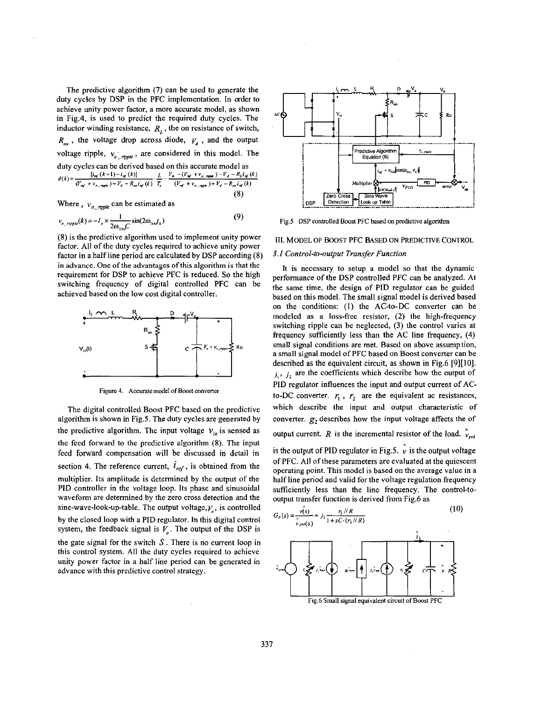The predictive algorithm (7) can be used to generate the duty cycles by DSP in the PFC implementation. In order to achieve unity power factor, a more accurate model, as shown in Fig.4, is used to predict the required duty cycles. The inductor winding resistance,  $R<sub>L</sub>$ , the on resistance of switch,  $R_{on}$ , the voltage drop across diode,  $V_d$ , and the output voltage ripple,  $v_{o\_ruple}$ , are considered in this model. The duty cycles can be derived based on this accurate model as *d*(*k*) =  $\frac{[i_{\gamma\gamma'}(k+1)-i_{\gamma\gamma'}(k)]}{(V_{\gamma\gamma}+v_{o_{\gamma\gamma}}+v_{d}-R_{\alpha\gamma}i_{\gamma\gamma'}(k))}$ .  $\frac{L}{T_{\gamma}} - \frac{V_{\gamma\gamma}-(V_{\gamma\gamma'}+v_{o_{\gamma\gamma}}i_{\gamma\gamma}+V_{d}-R_{\gamma\gamma}i_{\gamma\gamma'}(k))}{(V_{\gamma\gamma}+v_{o_{\gamma\gamma}\gamma}+v_{d}-R_{\alpha\gamma}i_{\gamma\gamma'}(k))}$ 

Where,  $v_{o\_ripple}$  can be estimated as

$$
v_{o\_right}(k) = -I_o \times \frac{1}{2\omega_{lin}C} \sin(2\omega_{lin}t_k)
$$
(9)

**(8)** 

(8) is the predictive algorithm used to implement unity power factor. All of the duty cycles required to achieve unity power factor in a half line period are calculated by DSP according (8) in advance. One of the advantages **of** this algorithm is that the requirement for DSP to achieve PFC is reduced. So the high switching frequency of digital controlled PFC can be achieved based on the low cost digital controller.



Figure **4. Accurate model of Boost converter** 

The digital controlled Boost PFC based on the predictive algorithm is shown in Fig.5. The duty cycles are generated by the predictive algorithm. The input voltage  $v_{in}$  is sensed as the feed forward to the predictive algorithm (8). The input feed forward compensation will be discussed in detail in section 4. The reference current,  $\hat{l}_{ref}$ , is obtained from the multiplier. Its amplitude is determined by the output of the PID controller in the voltage loop. Its phase and sinusoidal waveform are determined by the zero cross detection and the sine-wave-look-up-table. The output voltage,  $V_{\alpha}$ , is controlled by the closed loop with a PID regulator. In this digital control system, the feedback signal is  $V_a$ . The output of the DSP is the gate signal for the switch  $S$ . There is no current loop in this control system. All the duty cycles required to achieve unity power factor in a half line period can be generated in advance with this predictive control strategy.



Fig.5 DSP controlled Boost PFC based on predictive algorithm

#### **111.** MODEL OF BOOST PFC BASED ON PREDICTIVE CONTROL

#### *3.1 Control-to-output Transfer Function*

It is necessary to setup **a** model so that the dynamic performance of the DSP controlled PFC can be analyzed. At the same time, the design of PID regulator can be guided based on this model. The small signal model is derived based on the conditions: (1) the AC-to-DC converter can he modeled as a loss-free resistor, (2) the high-frequency switching ripple can be neglected, (3) the control varies at frequency sufficiently less than the AC line frequency, **(4)**  small signal conditions are met. Based on above assumption, a small signal model of PFC based **on** Boost converter can be described as the equivalent circuit, as shown in Fig.6 [9][10]. *j,, j,* are the coefficients which describe how the output of PID regulator influences the input and output current **of** ACto-DC converter.  $r_1$ ,  $r_2$  are the equivalent ac resistances, which describe the input and output characteristic of converter. *g,* describes how the input voltage affects the of output current. *R* is the incremental resistor of the load.  $\hat{v}_{pid}$ 

is the output of PID regulator in Fig.5.  $\hat{v}$  is the output voltage of PFC. All of these parameters are evaluated at the quiescent operating point. This model is based on the average value in a half line period and valid for the voltage regulation frequency suficiently less than the line frequency. The control-tooutput transfer function is derived from Fig.6 as

$$
G_{P}(s) = \frac{v(s)}{v_{pd}(s)} = j_2 \frac{r_2 / R}{1 + sC \cdot (r_2 / R)}
$$
(10)  

$$
\sum_{r_1, r_2, r_3, r_4, r_5, r_6, r_6, r_7, r_8, r_9, r_9, r_9, r_9, r_9, r_1, r_1, r_1, r_1, r_2, r_3, r_1, r_1, r_2, r_3, r_1, r_1, r_2, r_3, r_1, r_1, r_2, r_3, r_1, r_1, r_2, r_3, r_1, r_1, r_2, r_3, r_1, r_1, r_2, r_3, r_1, r_1, r_2, r_3, r_1, r_1, r_2, r_3, r_1, r_1, r_2, r_3, r_1, r_1, r_2, r_3, r_1, r_2, r_3, r_1, r_2, r_3, r_1, r_1, r_2, r_3, r_1, r_1, r_2, r_3, r_1, r_2, r_3, r_1, r_2, r_3, r_1, r_1, r_2, r_3, r_1, r_1, r_2, r_3, r_1, r_2, r_3, r_1, r_2, r_3, r_1, r_2, r_3, r_1, r_2, r_3, r_1, r_2, r_3, r_1, r_2, r_3, r_1, r_2, r_3, r_1, r_2, r_3, r_1, r_2, r_3, r_1, r_2, r_3, r_1, r_2, r_3, r_1, r_2, r_3, r_1, r_2, r_3, r_1, r_2, r_3, r_1, r_2, r_3, r_1, r_2, r_3, r_1, r_2, r_3, r_1, r_2, r_3, r_1, r_2, r_3, r_1, r_2, r_3, r_1, r_2, r_3, r_1, r_2, r_3, r_1, r_2, r_3, r_1, r_2, r_3, r_1, r_2, r_3, r_1, r_2, r_3, r_1, r_2, r_3, r_1, r_2, r_3, r_1, r_3, r_1
$$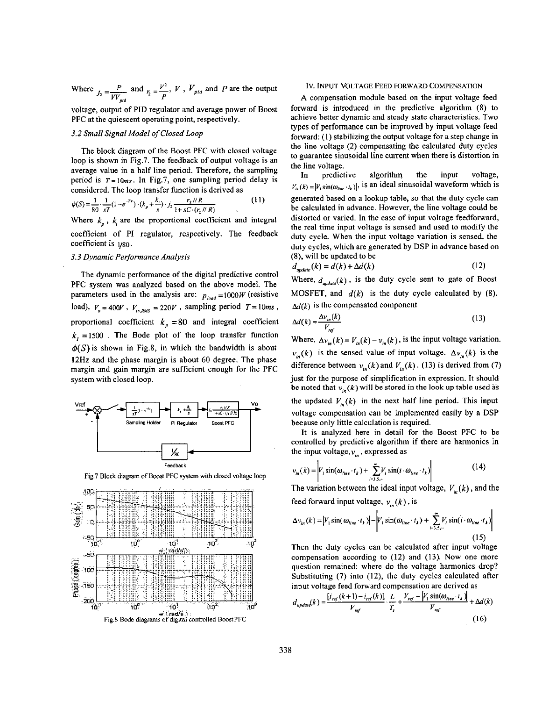Where  $j_2 = \frac{P}{VV_{pid}}$  and  $r_2 = \frac{V^2}{P}$ , *V*,  $V_{pid}$  and *P* are the output

voltage, output of PID regulator and average power of Boost PFC at the quiescent operating point, respectively.

# 3.2 *Small Signal Model of Closed Loop*

The block diagram of the Boost PFC with closed voltage loop is shown in Fig.7. The feedback of output voltage is an average value in a half line period. Therefore, the sampling period is  $T=10ms$ . In Fig.7, one sampling period delay is considered. The loop transfer function is derived as

$$
\phi(S) = \frac{1}{80} \cdot \frac{1}{sT} (1 - e^{-Ts}) \cdot (k_p + \frac{k_i}{s}) \cdot j_2 \frac{r_2 \cdot r}{1 + sC \cdot (r_2 \cdot r/R)} \tag{11}
$$

Where  $k_{n}$ ,  $k_{i}$  are the proportional coefficient and integral coefficient of PI regulator, respectively. The feedback coefficient is **1/80.** 

#### 3.3 *Dynamic Performance Analysis*

The dynamic performance of the digital predictive control PFC system was analyzed based **on** the above model. The parameters used in the analysis are:  $p_{load} = 1000W$  (resistive load),  $V_o = 400V$ ,  $V_{in, RMS} = 220V$ , sampling period  $T = 10ms$ , proportional coefficient  $k_p = 80$  and integral coefficient  $k_1 = 1500$ . The Bode plot of the loop transfer function  $\phi(S)$  is shown in Fig.8, in which the bandwidth is about **12Hz** and the phase margin is about 60 degree. The phase margin and gain margin are sufficient enough for the PFC system with closed loop.



Fig.7 Block diagram of Boost PFC system with closed voltage loop



# IV. INPUT VOLTAGE FEED FORWARD COMPENSATION

**A** compensation module based on the input voltage feed forward is introduced in the predictive algorithm **(8)** to achieve better dynamic and steady state characteristics. Two types of performance can be improved by input voltage feed forward: (1) stabilizing the output voltage for a step change in the line voltage (2) compensating the calculated duty cycles to guarantee sinusoidal line current when there is distortion in the line voltage.

In predictive algorithm the input voltage,  $V_{in}(k) = |V_1 \sin(\omega_{line} \cdot t_k)|$ , is an ideal sinusoidal waveform which is generated based on a lookup table, so that the duty cycle can be calculated in advance. However, the line voltage could be distorted or varied. In the case of input voltage feedforward, the real time input voltage is sensed and used to modify the duty cycle. When the input voltage variation is sensed, the duty cycles, which are generated by DSP in advance based on **(8),** will be updated to be

$$
d_{\text{update}}(k) = d(k) + \Delta d(k) \tag{12}
$$

Where,  $d_{\text{update}}(k)$ , is the duty cycle sent to gate of Boost MOSFET, and  $d(k)$  is the duty cycle calculated by  $(8)$ .  $\Delta d(k)$  is the compensated component

$$
\Delta d(k) = \frac{\Delta v_{in}(k)}{V_{ref}} \tag{13}
$$

Where,  $\Delta v_{in}(k) = V_{in}(k) - v_{in}(k)$ , is the input voltage variation.  $v_{in}(k)$  is the sensed value of input voltage.  $\Delta v_{in}(k)$  is the difference between  $v_{in}(k)$  and  $V_{in}(k)$ . (13) is derived from (7) just for the purpose of simplification in expression. It should be noted that  $v_{in}(k)$  will be stored in the look up table used as the updated  $V_{in}(k)$  in the next half line period. This input voltage compensation can be implemented easily by a DSP because only little calculation is required.

It is analyzed here in detail for the Boost **PFC** to be controlled by predictive algorithm if there are harmonics in the input voltage,  $v_n$ , expressed as

$$
v_{in}(k) = V_1 \sin(\omega_{line} \cdot t_k) + \sum_{i=3,5,\cdots}^{\infty} V_i \sin(i \cdot \omega_{line} \cdot t_k)
$$
 (14)

The variation between the ideal input voltage,  $V_m(k)$ , and the feed forward input voltage,  $v_{in}(k)$ , is

$$
\Delta v_{in}(k) = |V_1 \sin(\omega_{line} \cdot t_k)| - |V_1 \sin(\omega_{line} \cdot t_k) + \sum_{i=3,5,\cdots}^{\infty} V_i \sin(i \cdot \omega_{line} \cdot t_k)|
$$
\n(15)

Then the duty cycles can be calculated after input voltage compensation according to (12) and (13). Now one more question remained: where do the voltage harmonics drop? Substituting (7) into (12), the duty cycles calculated after input voltage feed forward compensation are derived as

$$
d_{\text{update}}(k) = \frac{\left[i_{\text{ref}}(k+1) - i_{\text{ref}}(k)\right]}{V_{\text{ref}}} \cdot \frac{L}{T_s} + \frac{V_{\text{ref}} - |V_1 \sin(\omega_{\text{line}} \cdot t_k)|}{V_{\text{ref}}} + \Delta d(k)
$$
\n(16)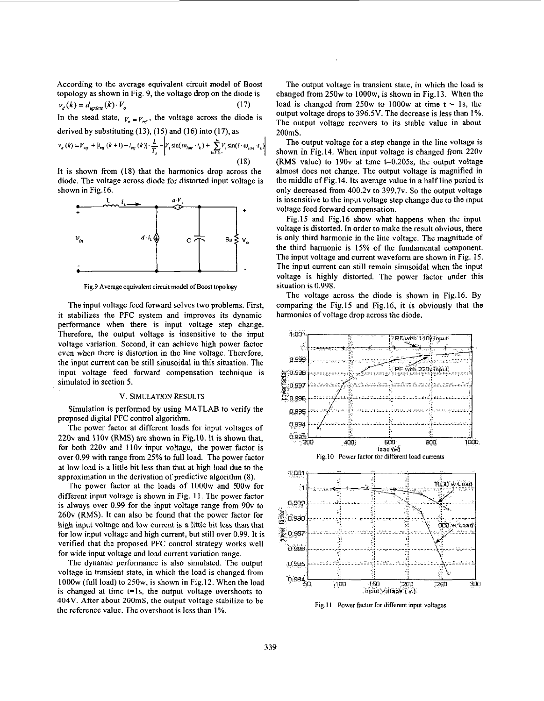According to the average equivalent circuit model of Boost topology as shown in Fig. 9, the voltage drop on the diode is  $v_d(k) = d_{update}(k) \cdot V_o$  (17)

In the stead state,  $V_{\rm g} = V_{\rm ref}$ , the voltage across the diode is

derived by substituting (13), (15) and (16) into (17), as  
\n
$$
v_d(k) = V_{ref} + [i_{ref}(k+1) - i_{ref}(k)] \cdot \frac{L}{T_s} - \left| V_1 \sin(\omega_{line} \cdot t_k) + \sum_{i=3,5,-} V_i \sin(i \cdot \omega_{line} \cdot t_k) \right|
$$
\n(18)

It is shown from (18) that the harmonics drop across the diode. The voltage across diode for distorted input voltage is shown in Fig.16.



**Fig.9** Average equivalent **circuit** model of Boost topology

The input voltage feed forward solves two problems. First, it stabilizes the PFC system and improves its dynamic performance when there is input voltage step change. Therefore, the output voltage is insensitive to the input voltage variation. Second, it can achieve high power factor even when there is distortion in the line voltage. Therefore, the input current can he still sinusoidal in this situation. The input voltage feed forward compensation technique is simulated in section *5.* 

#### **V.** SIMULATION RESULTS

Simulation is performed by using MATLAB to verify the proposed digital PFC control algorithm.

The power factor at different loads for input voltages of 220v and 1lOv (RMS) are shown in Fig.10. It is shown that, for both 220v and 11Ov input voltage, the power factor is over 0.99 with range from 25% to full load. The power factor at low load is a little bit less than that at high load due to the approximation in the derivation of predictive algorithm (8).

The power factor at the loads of 1000w and 500w for different input voltage is shown in [Fig. 1](#page-0-0)1. The power factor is always over 0.99 for the input voltage range from 90v to 260v (RMS). It can also be found that the power factor for high input voltage and low current is a little bit less than that for low input voltage and high current, hut still over 0.99. It is verified that the proposed PFC control strategy works well for wide input voltage and load current variation range.

The dynamic performance is also simulated. The output voltage in transient state, in which the load is changed from  $1000w$  (full load) to  $250w$ , is shown in Fig.12. When the load is changed at time t=ls, the output voltage overshoots to **404V.** After about ZOOmS, the output voltage stabilize to be the reference value. The overshoot is less than **1%.** 

The output voltage in transient state, in which the load is changed from 250w to lOOOw, is shown in Fig.13. When the load is changed from 250w to 1000w at time  $t = 1s$ , the output voltage drops to 396.5V. The decrease is less than 1%. The output voltage recovers to its stable value in ahout 200mS.

The output voltage for a step change in the line voltage is shown in Fig.14. When input voltage is changed from 220v (RMS value) to  $190v$  at time t=0.205s, the output voltage almost does not change. The output voltage is magnified in the middle of Fig. 14. Its average value in a half line period is only decreased from  $400.2v$  to 399.7 $v$ . So the output voltage is insensitive to the input voltage step change due to the input voltage feed forward compensation.

Fig.15 and Fig.16 show what happens when the input voltage is distorted. In order to make the result obvious, there is only third harmonic in the line voltage. The magnitude of the third harmonic is 15% of the fundamental component. The input voltage and current waveform are shown in Fig. 15. The input current can still remain sinusoidal when the input voltage is highly distorted. The power factor under this situation is 0.998.

The voltage across the diode is shown in Fig.16. By comparing the Fig.15 and Fig.16, it is obviously that the harmonics of voltage drop across the diode.



Fig.11 Power factor far different **input voltages**